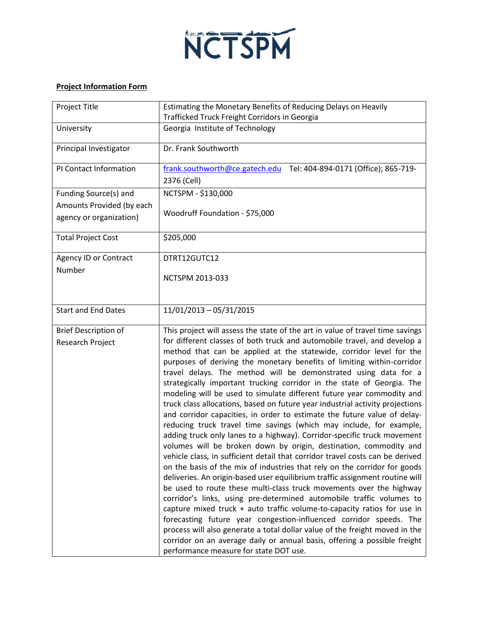

## **Project Information Form**

| Project Title                                          | Estimating the Monetary Benefits of Reducing Delays on Heavily<br>Trafficked Truck Freight Corridors in Georgia                                                                                                                                                                                                                                                                                                                                                                                                                                                                                                                                                                                                                                                                                                                                                                                                                                                                                                                                                                                                                                                                                                                                                                                                                                                                                                                                                                                                                                                                                                                                                          |
|--------------------------------------------------------|--------------------------------------------------------------------------------------------------------------------------------------------------------------------------------------------------------------------------------------------------------------------------------------------------------------------------------------------------------------------------------------------------------------------------------------------------------------------------------------------------------------------------------------------------------------------------------------------------------------------------------------------------------------------------------------------------------------------------------------------------------------------------------------------------------------------------------------------------------------------------------------------------------------------------------------------------------------------------------------------------------------------------------------------------------------------------------------------------------------------------------------------------------------------------------------------------------------------------------------------------------------------------------------------------------------------------------------------------------------------------------------------------------------------------------------------------------------------------------------------------------------------------------------------------------------------------------------------------------------------------------------------------------------------------|
| University                                             | Georgia Institute of Technology                                                                                                                                                                                                                                                                                                                                                                                                                                                                                                                                                                                                                                                                                                                                                                                                                                                                                                                                                                                                                                                                                                                                                                                                                                                                                                                                                                                                                                                                                                                                                                                                                                          |
| Principal Investigator                                 | Dr. Frank Southworth                                                                                                                                                                                                                                                                                                                                                                                                                                                                                                                                                                                                                                                                                                                                                                                                                                                                                                                                                                                                                                                                                                                                                                                                                                                                                                                                                                                                                                                                                                                                                                                                                                                     |
| PI Contact Information                                 | Tel: 404-894-0171 (Office); 865-719-<br>frank.southworth@ce.gatech.edu                                                                                                                                                                                                                                                                                                                                                                                                                                                                                                                                                                                                                                                                                                                                                                                                                                                                                                                                                                                                                                                                                                                                                                                                                                                                                                                                                                                                                                                                                                                                                                                                   |
|                                                        | 2376 (Cell)                                                                                                                                                                                                                                                                                                                                                                                                                                                                                                                                                                                                                                                                                                                                                                                                                                                                                                                                                                                                                                                                                                                                                                                                                                                                                                                                                                                                                                                                                                                                                                                                                                                              |
| Funding Source(s) and                                  | NCTSPM - \$130,000                                                                                                                                                                                                                                                                                                                                                                                                                                                                                                                                                                                                                                                                                                                                                                                                                                                                                                                                                                                                                                                                                                                                                                                                                                                                                                                                                                                                                                                                                                                                                                                                                                                       |
| Amounts Provided (by each                              | Woodruff Foundation - \$75,000                                                                                                                                                                                                                                                                                                                                                                                                                                                                                                                                                                                                                                                                                                                                                                                                                                                                                                                                                                                                                                                                                                                                                                                                                                                                                                                                                                                                                                                                                                                                                                                                                                           |
| agency or organization)                                |                                                                                                                                                                                                                                                                                                                                                                                                                                                                                                                                                                                                                                                                                                                                                                                                                                                                                                                                                                                                                                                                                                                                                                                                                                                                                                                                                                                                                                                                                                                                                                                                                                                                          |
| <b>Total Project Cost</b>                              | \$205,000                                                                                                                                                                                                                                                                                                                                                                                                                                                                                                                                                                                                                                                                                                                                                                                                                                                                                                                                                                                                                                                                                                                                                                                                                                                                                                                                                                                                                                                                                                                                                                                                                                                                |
| Agency ID or Contract                                  | DTRT12GUTC12                                                                                                                                                                                                                                                                                                                                                                                                                                                                                                                                                                                                                                                                                                                                                                                                                                                                                                                                                                                                                                                                                                                                                                                                                                                                                                                                                                                                                                                                                                                                                                                                                                                             |
| Number                                                 | NCTSPM 2013-033                                                                                                                                                                                                                                                                                                                                                                                                                                                                                                                                                                                                                                                                                                                                                                                                                                                                                                                                                                                                                                                                                                                                                                                                                                                                                                                                                                                                                                                                                                                                                                                                                                                          |
|                                                        |                                                                                                                                                                                                                                                                                                                                                                                                                                                                                                                                                                                                                                                                                                                                                                                                                                                                                                                                                                                                                                                                                                                                                                                                                                                                                                                                                                                                                                                                                                                                                                                                                                                                          |
| <b>Start and End Dates</b>                             | 11/01/2013 - 05/31/2015                                                                                                                                                                                                                                                                                                                                                                                                                                                                                                                                                                                                                                                                                                                                                                                                                                                                                                                                                                                                                                                                                                                                                                                                                                                                                                                                                                                                                                                                                                                                                                                                                                                  |
| <b>Brief Description of</b><br><b>Research Project</b> | This project will assess the state of the art in value of travel time savings<br>for different classes of both truck and automobile travel, and develop a<br>method that can be applied at the statewide, corridor level for the<br>purposes of deriving the monetary benefits of limiting within-corridor<br>travel delays. The method will be demonstrated using data for a<br>strategically important trucking corridor in the state of Georgia. The<br>modeling will be used to simulate different future year commodity and<br>truck class allocations, based on future year industrial activity projections<br>and corridor capacities, in order to estimate the future value of delay-<br>reducing truck travel time savings (which may include, for example,<br>adding truck only lanes to a highway). Corridor-specific truck movement<br>volumes will be broken down by origin, destination, commodity and<br>vehicle class, in sufficient detail that corridor travel costs can be derived<br>on the basis of the mix of industries that rely on the corridor for goods<br>deliveries. An origin-based user equilibrium traffic assignment routine will<br>be used to route these multi-class truck movements over the highway<br>corridor's links, using pre-determined automobile traffic volumes to<br>capture mixed truck + auto traffic volume-to-capacity ratios for use in<br>forecasting future year congestion-influenced corridor speeds. The<br>process will also generate a total dollar value of the freight moved in the<br>corridor on an average daily or annual basis, offering a possible freight<br>performance measure for state DOT use. |